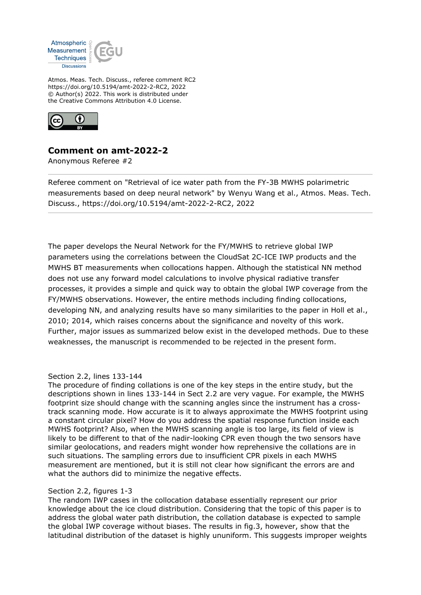

Atmos. Meas. Tech. Discuss., referee comment RC2 https://doi.org/10.5194/amt-2022-2-RC2, 2022 © Author(s) 2022. This work is distributed under the Creative Commons Attribution 4.0 License.



# **Comment on amt-2022-2**

Anonymous Referee #2

Referee comment on "Retrieval of ice water path from the FY-3B MWHS polarimetric measurements based on deep neural network" by Wenyu Wang et al., Atmos. Meas. Tech. Discuss., https://doi.org/10.5194/amt-2022-2-RC2, 2022

The paper develops the Neural Network for the FY/MWHS to retrieve global IWP parameters using the correlations between the CloudSat 2C-ICE IWP products and the MWHS BT measurements when collocations happen. Although the statistical NN method does not use any forward model calculations to involve physical radiative transfer processes, it provides a simple and quick way to obtain the global IWP coverage from the FY/MWHS observations. However, the entire methods including finding collocations, developing NN, and analyzing results have so many similarities to the paper in Holl et al., 2010; 2014, which raises concerns about the significance and novelty of this work. Further, major issues as summarized below exist in the developed methods. Due to these weaknesses, the manuscript is recommended to be rejected in the present form.

## Section 2.2, lines 133-144

The procedure of finding collations is one of the key steps in the entire study, but the descriptions shown in lines 133-144 in Sect 2.2 are very vague. For example, the MWHS footprint size should change with the scanning angles since the instrument has a crosstrack scanning mode. How accurate is it to always approximate the MWHS footprint using a constant circular pixel? How do you address the spatial response function inside each MWHS footprint? Also, when the MWHS scanning angle is too large, its field of view is likely to be different to that of the nadir-looking CPR even though the two sensors have similar geolocations, and readers might wonder how reprehensive the collations are in such situations. The sampling errors due to insufficient CPR pixels in each MWHS measurement are mentioned, but it is still not clear how significant the errors are and what the authors did to minimize the negative effects.

#### Section 2.2, figures 1-3

The random IWP cases in the collocation database essentially represent our prior knowledge about the ice cloud distribution. Considering that the topic of this paper is to address the global water path distribution, the collation database is expected to sample the global IWP coverage without biases. The results in fig.3, however, show that the latitudinal distribution of the dataset is highly ununiform. This suggests improper weights